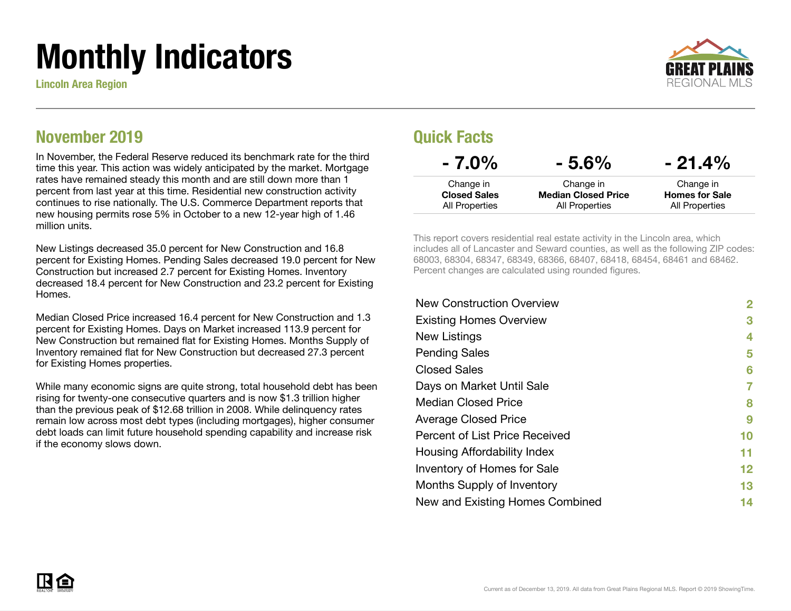# Monthly Indicators

Lincoln Area Region



#### November 2019

In November, the Federal Reserve reduced its benchmark rate for the third time this year. This action was widely anticipated by the market. Mortgage rates have remained steady this month and are still down more than 1 percent from last year at this time. Residential new construction activity continues to rise nationally. The U.S. Commerce Department reports that new housing permits rose 5% in October to a new 12-year high of 1.46 million units.

New Listings decreased 35.0 percent for New Construction and 16.8 percent for Existing Homes. Pending Sales decreased 19.0 percent for New Construction but increased 2.7 percent for Existing Homes. Inventory decreased 18.4 percent for New Construction and 23.2 percent for Existing **Homes** 

Median Closed Price increased 16.4 percent for New Construction and 1.3 percent for Existing Homes. Days on Market increased 113.9 percent for New Construction but remained flat for Existing Homes. Months Supply of Inventory remained flat for New Construction but decreased 27.3 percent for Existing Homes properties.

While many economic signs are quite strong, total household debt has been rising for twenty-one consecutive quarters and is now \$1.3 trillion higher than the previous peak of \$12.68 trillion in 2008. While delinquency rates remain low across most debt types (including mortgages), higher consumer debt loads can limit future household spending capability and increase risk if the economy slows down.

#### Quick Facts

| $-7.0\%$                                           | $-5.6\%$                                                  | $-21.4\%$                                            |
|----------------------------------------------------|-----------------------------------------------------------|------------------------------------------------------|
| Change in<br><b>Closed Sales</b><br>All Properties | Change in<br><b>Median Closed Price</b><br>All Properties | Change in<br><b>Homes for Sale</b><br>All Properties |
|                                                    |                                                           |                                                      |

This report covers residential real estate activity in the Lincoln area, which includes all of Lancaster and Seward counties, as well as the following ZIP codes: 68003, 68304, 68347, 68349, 68366, 68407, 68418, 68454, 68461 and 68462. Percent changes are calculated using rounded figures.

| 2                 |
|-------------------|
| 3                 |
| 4                 |
| 5                 |
| 6                 |
| 7                 |
| 8                 |
| 9                 |
| 10                |
| 11                |
| $12 \ \mathsf{ }$ |
| 13                |
| 14                |
|                   |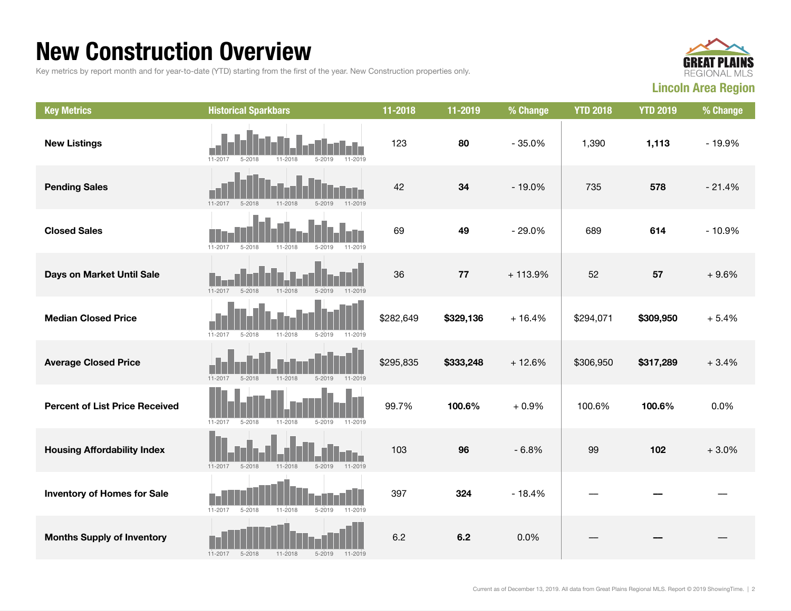### New Construction Overview

Key metrics by report month and for year-to-date (YTD) starting from the first of the year. New Construction properties only.



| <b>Key Metrics</b>                    | <b>Historical Sparkbars</b>                                           | 11-2018   | 11-2019   | % Change  | <b>YTD 2018</b> | <b>YTD 2019</b> | % Change |
|---------------------------------------|-----------------------------------------------------------------------|-----------|-----------|-----------|-----------------|-----------------|----------|
| <b>New Listings</b>                   | $11 - 2017$<br>$5 - 2019$<br>11-2019<br>$5 - 2018$<br>11-2018         | 123       | 80        | $-35.0%$  | 1,390           | 1,113           | $-19.9%$ |
| <b>Pending Sales</b>                  | $11 - 2017$<br>$5 - 2018$<br>11-2018<br>$5 - 2019$<br>11-2019         | 42        | 34        | $-19.0%$  | 735             | 578             | $-21.4%$ |
| <b>Closed Sales</b>                   | 11-2017<br>$5 - 2018$<br>11-2018<br>$5 - 2019$<br>11-2019             | 69        | 49        | $-29.0%$  | 689             | 614             | $-10.9%$ |
| Days on Market Until Sale             | $11 - 2017$<br>$11 - 2018$<br>$5 - 2019$<br>$11 - 2019$<br>$5 - 2018$ | 36        | 77        | $+113.9%$ | 52              | 57              | $+9.6%$  |
| <b>Median Closed Price</b>            | $11 - 2017$<br>$5 - 2018$<br>11-2018<br>$5 - 2019$<br>11-2019         | \$282,649 | \$329,136 | $+16.4%$  | \$294,071       | \$309,950       | $+5.4%$  |
| <b>Average Closed Price</b>           | 11-2017<br>$5 - 2018$<br>11-2018<br>$5 - 2019$<br>11-2019             | \$295,835 | \$333,248 | $+12.6%$  | \$306,950       | \$317,289       | $+3.4%$  |
| <b>Percent of List Price Received</b> | 11-2018<br>$11 - 2017$<br>$5 - 2018$<br>$5 - 2019$<br>11-2019         | 99.7%     | 100.6%    | $+0.9%$   | 100.6%          | 100.6%          | 0.0%     |
| <b>Housing Affordability Index</b>    | 11-2018<br>$5 - 2019$<br>$11 - 2017$<br>$5 - 2018$<br>11-2019         | 103       | 96        | $-6.8%$   | 99              | 102             | $+3.0%$  |
| <b>Inventory of Homes for Sale</b>    | 11-2018<br>$11 - 2017$<br>$5 - 2018$<br>$5 - 2019$<br>11-2019         | 397       | 324       | $-18.4%$  |                 |                 |          |
| <b>Months Supply of Inventory</b>     | $5 - 2018$<br>11-2018<br>$5 - 2019$<br>$11 - 2017$<br>11-2019         | 6.2       | 6.2       | 0.0%      |                 |                 |          |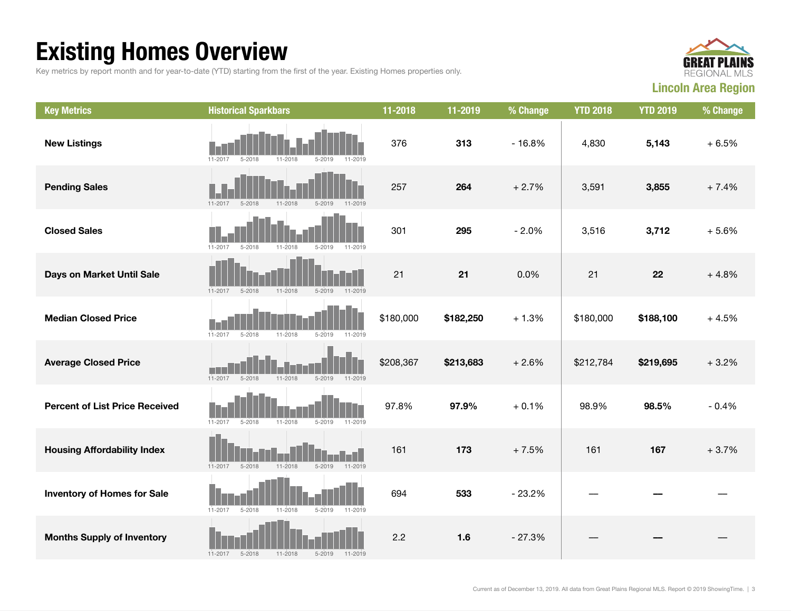## Existing Homes Overview

Key metrics by report month and for year-to-date (YTD) starting from the first of the year. Existing Homes properties only.



| <b>Key Metrics</b>                    | <b>Historical Sparkbars</b>                                       | 11-2018   | 11-2019   | % Change | <b>YTD 2018</b> | <b>YTD 2019</b> | % Change |
|---------------------------------------|-------------------------------------------------------------------|-----------|-----------|----------|-----------------|-----------------|----------|
| <b>New Listings</b>                   | $5 - 2018$<br>11-2018<br>$5 - 2019$<br>11-2017<br>11-2019         | 376       | 313       | $-16.8%$ | 4,830           | 5,143           | $+6.5%$  |
| <b>Pending Sales</b>                  | $11 - 2017$<br>$5 - 2018$<br>$11 - 2018$<br>$5 - 2019$<br>11-2019 | 257       | 264       | $+2.7%$  | 3,591           | 3,855           | $+7.4%$  |
| <b>Closed Sales</b>                   | $11 - 2017$<br>$5 - 2018$<br>$11 - 2018$<br>$5 - 2019$<br>11-2019 | 301       | 295       | $-2.0%$  | 3,516           | 3,712           | $+5.6%$  |
| Days on Market Until Sale             | $11 - 2018$<br>$5 - 2019$<br>$11 - 2019$<br>11-2017<br>$5 - 2018$ | 21        | 21        | 0.0%     | 21              | 22              | $+4.8%$  |
| <b>Median Closed Price</b>            | $11 - 2017$<br>$5 - 2018$<br>$11 - 2018$<br>$5 - 2019$<br>11-2019 | \$180,000 | \$182,250 | $+1.3%$  | \$180,000       | \$188,100       | $+4.5%$  |
| <b>Average Closed Price</b>           | $11 - 2017$<br>$5 - 2018$<br>11-2018<br>$5 - 2019$<br>11-2019     | \$208,367 | \$213,683 | $+2.6%$  | \$212,784       | \$219,695       | $+3.2%$  |
| <b>Percent of List Price Received</b> | $11 - 2017$<br>$5 - 2018$<br>11-2018<br>$5 - 2019$<br>11-2019     | 97.8%     | 97.9%     | $+0.1%$  | 98.9%           | 98.5%           | $-0.4%$  |
| <b>Housing Affordability Index</b>    | $11 - 2018$<br>$11 - 2017$<br>$5 - 2018$<br>$5 - 2019$<br>11-2019 | 161       | 173       | $+7.5%$  | 161             | 167             | $+3.7%$  |
| <b>Inventory of Homes for Sale</b>    | $5 - 2018$<br>11-2018<br>$5 - 2019$<br>$11 - 2017$<br>11-2019     | 694       | 533       | $-23.2%$ |                 |                 |          |
| <b>Months Supply of Inventory</b>     | $11 - 2017$<br>$5 - 2018$<br>$11 - 2018$<br>$5 - 2019$<br>11-2019 | 2.2       | 1.6       | $-27.3%$ |                 |                 |          |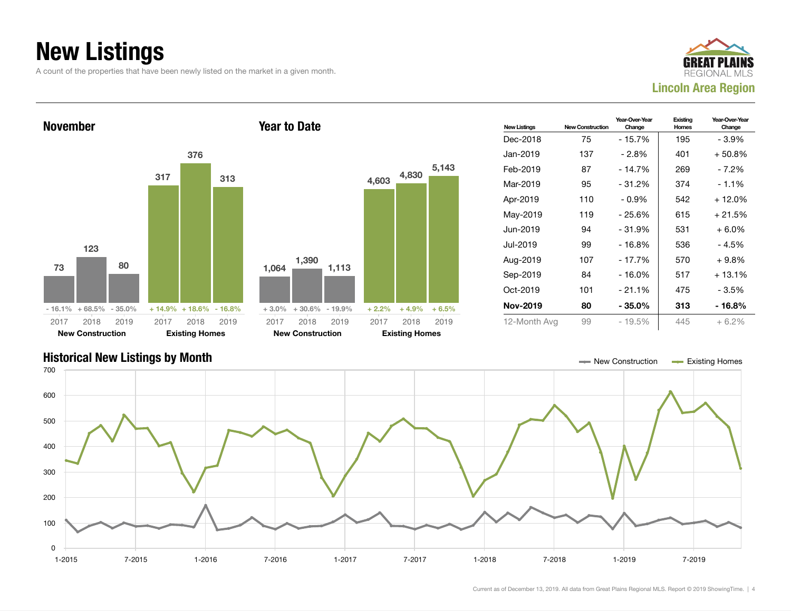## New Listings

A count of the properties that have been newly listed on the market in a given month.





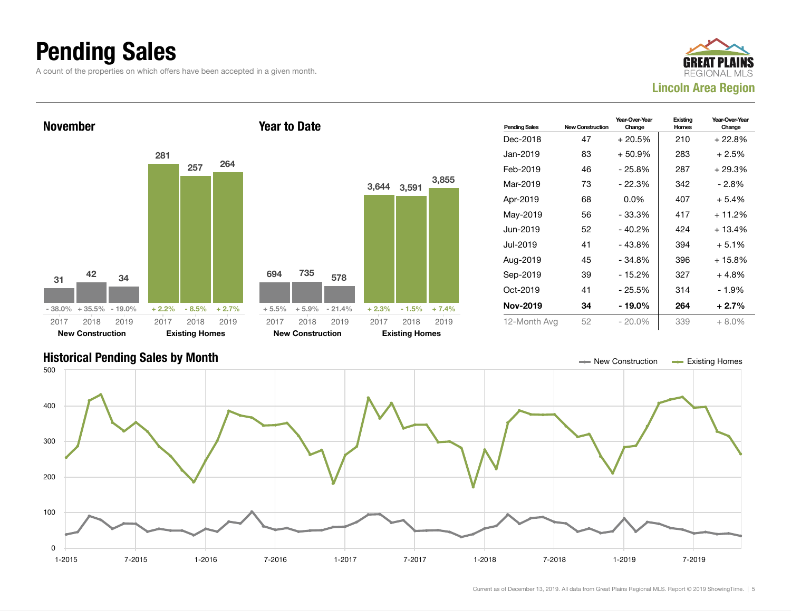### Pending Sales

A count of the properties on which offers have been accepted in a given month.





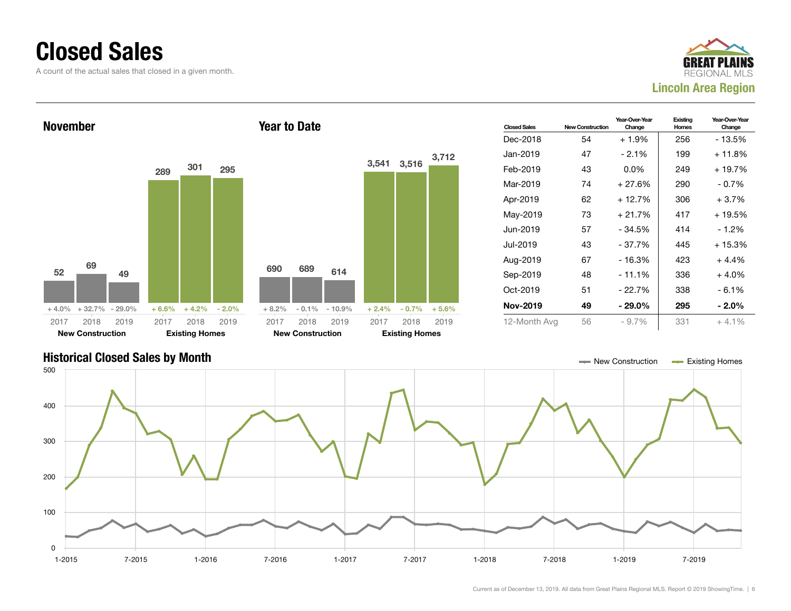#### Closed Sales

A count of the actual sales that closed in a given month.





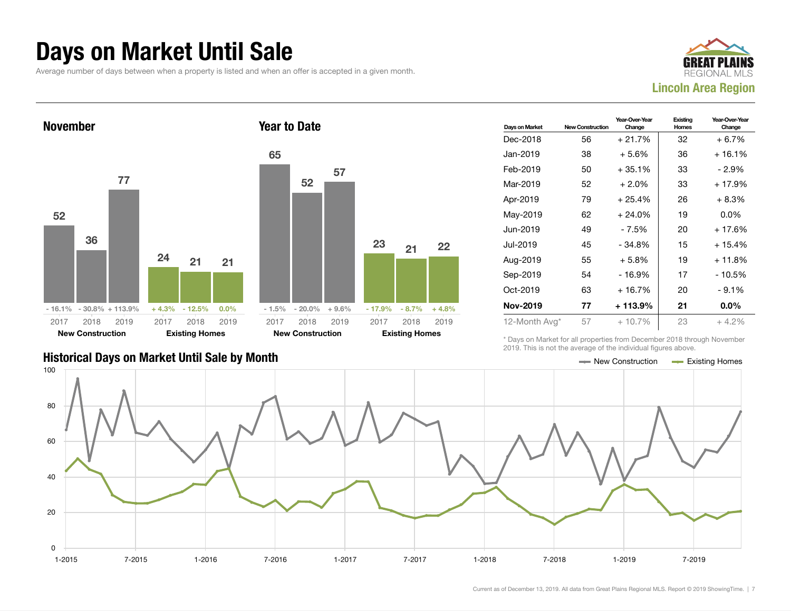#### Days on Market Until Sale

Average number of days between when a property is listed and when an offer is accepted in a given month.





| Days on Market  | <b>New Construction</b> | Year-Over-Year<br>Change | Existing<br>Homes | Year-Over-Year<br>Change |
|-----------------|-------------------------|--------------------------|-------------------|--------------------------|
| Dec-2018        | 56                      | $+21.7%$                 | 32                | $+6.7%$                  |
| Jan-2019        | 38                      | $+5.6%$                  | 36                | + 16.1%                  |
| Feb-2019        | 50                      | $+35.1%$                 | 33                | - 2.9%                   |
| Mar-2019        | 52                      | $+2.0\%$                 | 33                | + 17.9%                  |
| Apr-2019        | 79                      | $+25.4%$                 | 26                | $+8.3%$                  |
| May-2019        | 62                      | $+24.0%$                 | 19                | $0.0\%$                  |
| Jun-2019        | 49                      | $-7.5%$                  | 20                | $+17.6%$                 |
| Jul-2019        | 45                      | $-34.8%$                 | 15                | $+15.4%$                 |
| Aug-2019        | 55                      | $+5.8\%$                 | 19                | $+11.8%$                 |
| Sep-2019        | 54                      | $-16.9%$                 | 17                | $-10.5%$                 |
| Oct-2019        | 63                      | + 16.7%                  | 20                | $-9.1%$                  |
| <b>Nov-2019</b> | 77                      | + 113.9%                 | 21                | $0.0\%$                  |
| 12-Month Avg*   | 57                      | $+10.7%$                 | 23                | $+4.2%$                  |

#### Historical Days on Market Until Sale by Month  $\blacksquare$  New Construction  $\blacksquare$  Existing Homes

\* Days on Market for all properties from December 2018 through November 2019. This is not the average of the individual figures above.

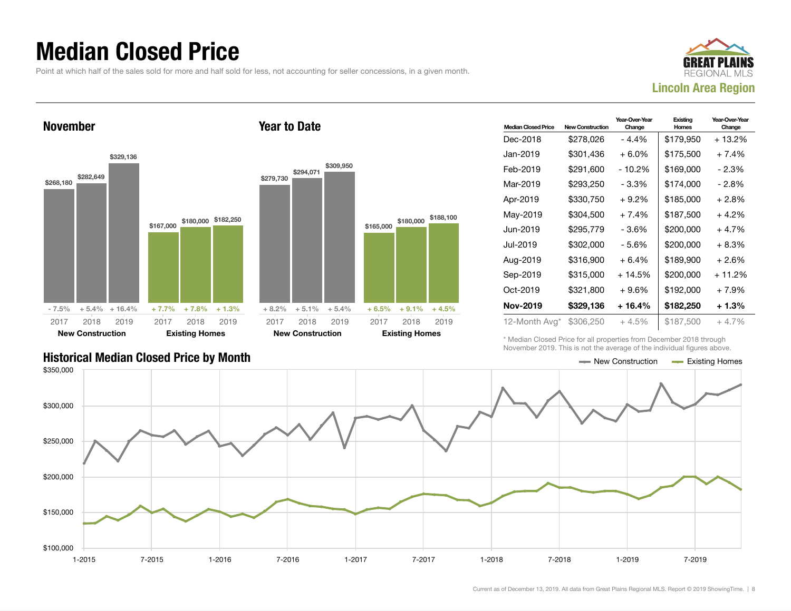### Median Closed Price

Point at which half of the sales sold for more and half sold for less, not accounting for seller concessions, in a given month.



November \$268,180 \$282,649 \$329,136  $-7.5\% + 5.4\% + 16.4\%$ \$167,000 \$180,00  $+ 7.7\% + 7.8$ 2017 New Construction 2018 2019 2017 **Existing H** 2018 2019 Year to Date \$279,730 \$294,071 2017

| lomes           |           | <b>New Construction</b> |           |           | <b>Existing Homes</b> |           |  |
|-----------------|-----------|-------------------------|-----------|-----------|-----------------------|-----------|--|
| 3<br>2019       | 2017      | 2018                    | 2019      | 2017      | 2018                  | 2019      |  |
| ℅<br>$+1.3%$    | $+8.2%$   | $+5.1%$                 | $+5.4%$   | $+6.5%$   | $+9.1%$               | $+4.5%$   |  |
| \$182,250<br>00 | \$279,730 | \$294,071               | \$309,950 | \$165,000 | \$180,000             | \$188,100 |  |

| <b>Median Closed Price</b> | <b>New Construction</b> | Year-Over-Year<br>Change | Existing<br>Homes | Year-Over-Year<br>Change |
|----------------------------|-------------------------|--------------------------|-------------------|--------------------------|
| Dec-2018                   | \$278,026               | - 4.4%                   | \$179,950         | + 13.2%                  |
| Jan-2019                   | \$301,436               | $+6.0\%$                 | \$175,500         | $+7.4%$                  |
| Feb-2019                   | \$291.600               | - 10.2%                  | \$169,000         | - 2.3%                   |
| Mar-2019                   | \$293,250               | - 3.3%                   | \$174,000         | - 2.8%                   |
| Apr-2019                   | \$330,750               | $+9.2%$                  | \$185,000         | $+2.8%$                  |
| May-2019                   | \$304,500               | $+7.4%$                  | \$187.500         | $+4.2%$                  |
| Jun-2019                   | \$295,779               | - 3.6%                   | \$200,000         | + 4.7%                   |
| Jul-2019                   | \$302,000               | - 5.6%                   | \$200,000         | $+8.3%$                  |
| Aug-2019                   | \$316,900               | $+6.4%$                  | \$189,900         | $+2.6%$                  |
| Sep-2019                   | \$315,000               | $+14.5%$                 | \$200,000         | $+11.2%$                 |
| Oct-2019                   | \$321,800               | $+9.6%$                  | \$192,000         | $+7.9%$                  |
| Nov-2019                   | \$329,136               | + 16.4%                  | \$182,250         | $+1.3%$                  |
| 12-Month Avg*              | \$306,250               | + 4.5%                   | \$187,500         | $+4.7%$                  |

\* Median Closed Price for all properties from December 2018 through November 2019. This is not the average of the individual figures above.

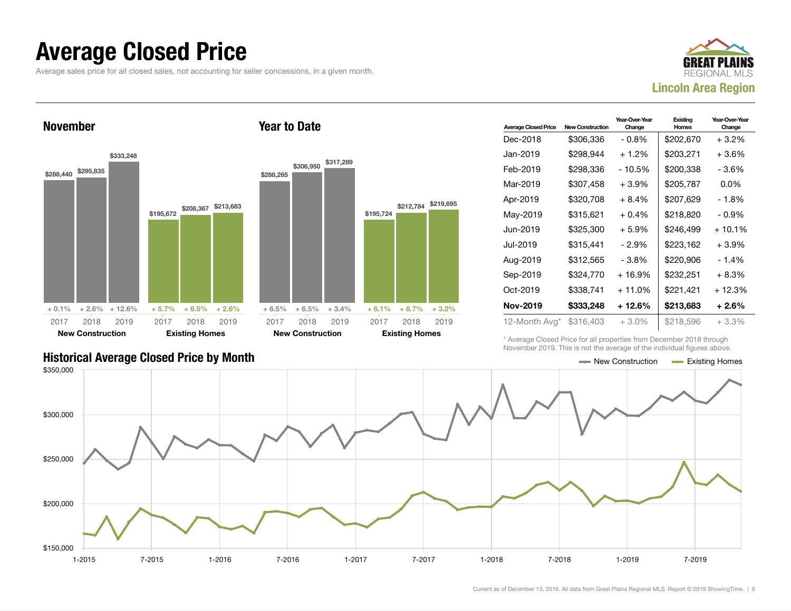#### Average Closed Price

Average sales price for all closed sales, not accounting for seller concessions, in a given month.



November



| <b>Average Closed Price</b> | <b>New Construction</b> | Year-Over-Year<br>Change | Existing<br>Homes | Year-Over-Year<br>Change |
|-----------------------------|-------------------------|--------------------------|-------------------|--------------------------|
| Dec-2018                    | \$306,336               | $-0.8\%$                 | \$202,670         | + 3.2%                   |
| Jan-2019                    | \$298.944               | $+1.2%$                  | \$203,271         | +3.6%                    |
| Feb-2019                    | \$298,336               | - 10.5%                  | \$200,338         | - 3.6%                   |
| Mar-2019                    | \$307,458               | $+3.9\%$                 | \$205,787         | $0.0\%$                  |
| Apr-2019                    | \$320.708               | $+8.4%$                  | \$207,629         | - 1.8%                   |
| May-2019                    | \$315,621               | $+0.4\%$                 | \$218,820         | $-0.9\%$                 |
| Jun-2019                    | \$325.300               | $+5.9%$                  | \$246.499         | $+10.1\%$                |
| Jul-2019                    | \$315,441               | - 2.9%                   | \$223.162         | $+3.9%$                  |
| Aug-2019                    | \$312,565               | - 3.8%                   | \$220,906         | - 1.4%                   |
| Sep-2019                    | \$324,770               | $+16.9%$                 | \$232,251         | $+8.3%$                  |
| Oct-2019                    | \$338,741               | $+11.0\%$                | \$221,421         | + 12.3%                  |
| <b>Nov-2019</b>             | \$333,248               | + 12.6%                  | \$213,683         | + 2.6%                   |
| 12-Month Avg*               | \$316,403               | $+3.0%$                  | \$218,596         | $+3.3\%$                 |

\* Average Closed Price for all properties from December 2018 through November 2019. This is not the average of the individual figures above.



#### Historical Average Closed Price by Month  $\blacksquare$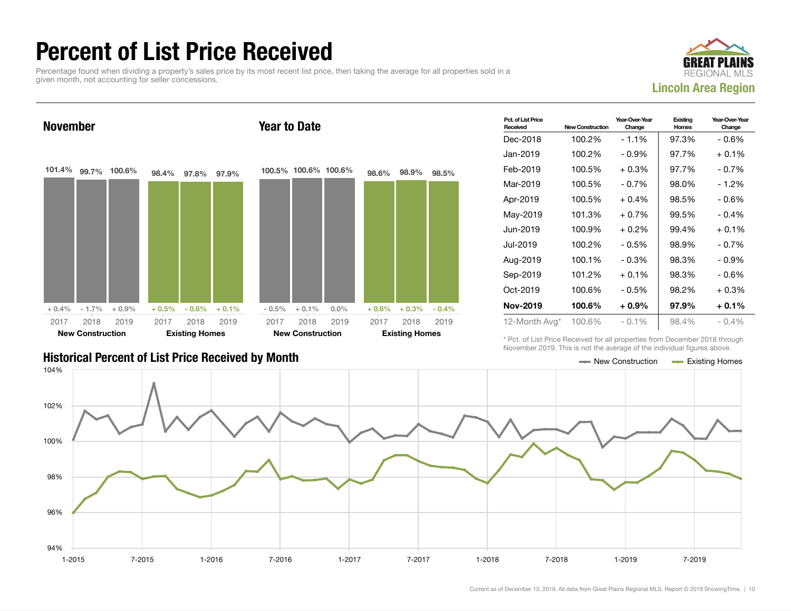### Percent of List Price Received

Percentage found when dividing a property's sales price by its most recent list price, then taking the average for all properties sold in a given month, not accounting for seller concessions.





| <b>Historical Percent of List Price Received by Month</b> | $\equiv$ New Construction | <b>Existing Homes</b> |
|-----------------------------------------------------------|---------------------------|-----------------------|

| Pct. of List Price<br>Received | <b>New Construction</b> | Year-Over-Year<br>Change | Existing<br>Homes | Year-Over-Year<br>Change |
|--------------------------------|-------------------------|--------------------------|-------------------|--------------------------|
| Dec-2018                       | 100.2%                  | $-1.1%$                  | 97.3%             | - 0.6%                   |
| Jan-2019                       | 100.2%                  | $-0.9\%$                 | 97.7%             | $+0.1\%$                 |
| Feb-2019                       | 100.5%                  | $+0.3%$                  | 97.7%             | $-0.7%$                  |
| Mar-2019                       | 100.5%                  | $-0.7%$                  | 98.0%             | - 1.2%                   |
| Apr-2019                       | 100.5%                  | $+0.4%$                  | 98.5%             | - 0.6%                   |
| May-2019                       | 101.3%                  | $+0.7%$                  | 99.5%             | $-0.4\%$                 |
| Jun-2019                       | 100.9%                  | $+0.2%$                  | 99.4%             | $+0.1%$                  |
| Jul-2019                       | 100.2%                  | $-0.5%$                  | 98.9%             | - 0.7%                   |
| Aug-2019                       | 100.1%                  | $-0.3%$                  | 98.3%             | $-0.9%$                  |
| Sep-2019                       | 101.2%                  | $+0.1%$                  | 98.3%             | - 0.6%                   |
| Oct-2019                       | 100.6%                  | $-0.5%$                  | 98.2%             | + 0.3%                   |
| <b>Nov-2019</b>                | 100.6%                  | $+0.9%$                  | 97.9%             | + 0.1%                   |
| 12-Month Avg*                  | 100.6%                  | $-0.1\%$                 | 98.4%             | $-0.4\%$                 |

\* Pct. of List Price Received for all properties from December 2018 through November 2019. This is not the average of the individual figures above.

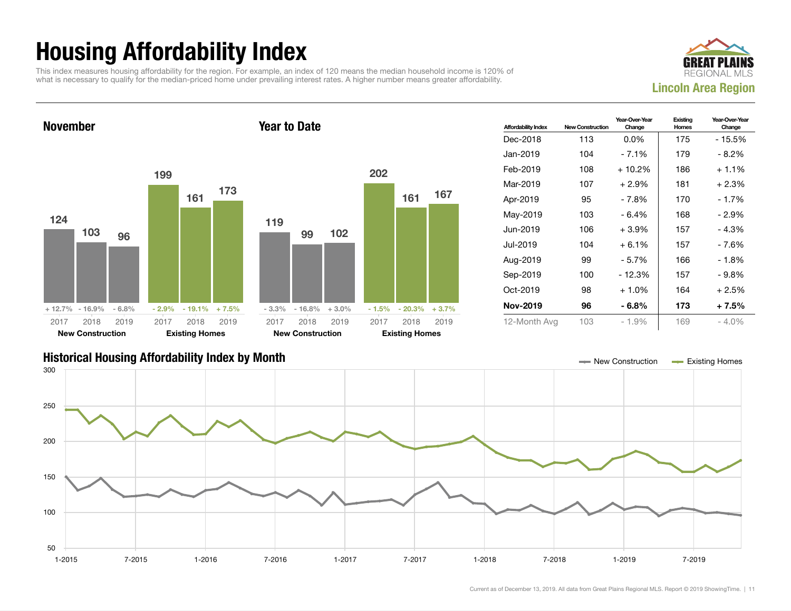## Housing Affordability Index

This index measures housing affordability for the region. For example, an index of 120 means the median household income is 120% of what is necessary to qualify for the median-priced home under prevailing interest rates. A higher number means greater affordability.



November 124 103 96 + 12.7% - 16.9% - 6.8% 199 161 173  $-2.9\% - 19.1\% + 7.5\%$ 2017 New Construction 2018 2019 2017 Existing Homes 2018 2019 Year to Date 119 99 102 - 3.3% - 16.8% + 3.0% 202 161 167  $-1.5\% - 20.3\% + 3.7\%$ 2017 New Construction 2018 2019 2017 Existing Homes 2018 2019

| <b>Affordability Index</b> | <b>New Construction</b> | Year-Over-Year<br>Change | Existing<br>Homes | Year-Over-Year<br>Change |
|----------------------------|-------------------------|--------------------------|-------------------|--------------------------|
| Dec-2018                   | 113                     | $0.0\%$                  | 175               | - 15.5%                  |
| Jan-2019                   | 104                     | $-7.1%$                  | 179               | $-8.2\%$                 |
| Feb-2019                   | 108                     | $+10.2%$                 | 186               | $+1.1\%$                 |
| Mar-2019                   | 107                     | $+2.9%$                  | 181               | $+2.3%$                  |
| Apr-2019                   | 95                      | - 7.8%                   | 170               | $-1.7%$                  |
| May-2019                   | 103                     | $-6.4%$                  | 168               | - 2.9%                   |
| Jun-2019                   | 106                     | $+3.9%$                  | 157               | $-4.3%$                  |
| Jul-2019.                  | 104                     | $+6.1%$                  | 157               | - 7.6%                   |
| Aug-2019                   | 99                      | - 5.7%                   | 166               | - 1.8%                   |
| Sep-2019                   | 100                     | $-12.3%$                 | 157               | $-9.8\%$                 |
| Oct-2019                   | 98                      | $+1.0%$                  | 164               | $+2.5%$                  |
| <b>Nov-2019</b>            | 96                      | - 6.8%                   | 173               | $+7.5%$                  |
| 12-Month Avg               | 103                     | - 1.9%                   | 169               | $-4.0\%$                 |

#### Historical Housing Affordability Index by Month New Construction Existing Homes

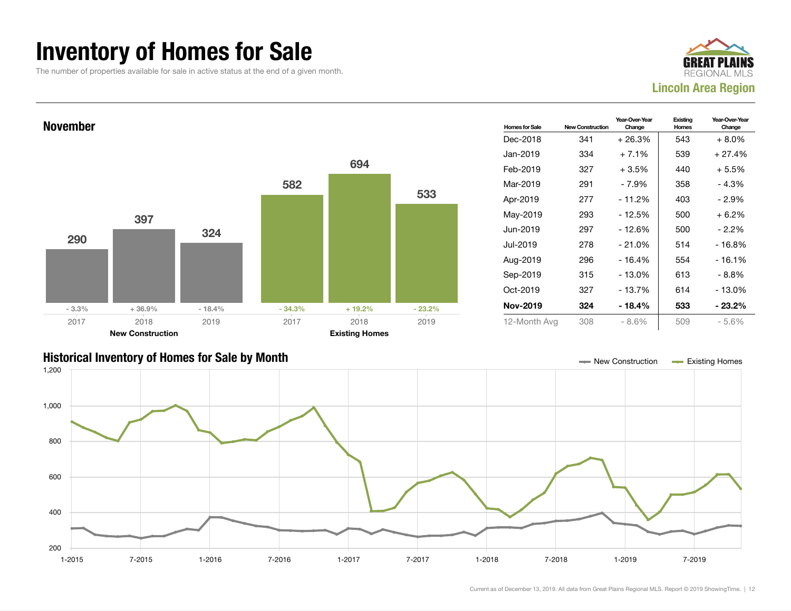### Inventory of Homes for Sale

The number of properties available for sale in active status at the end of a given month.





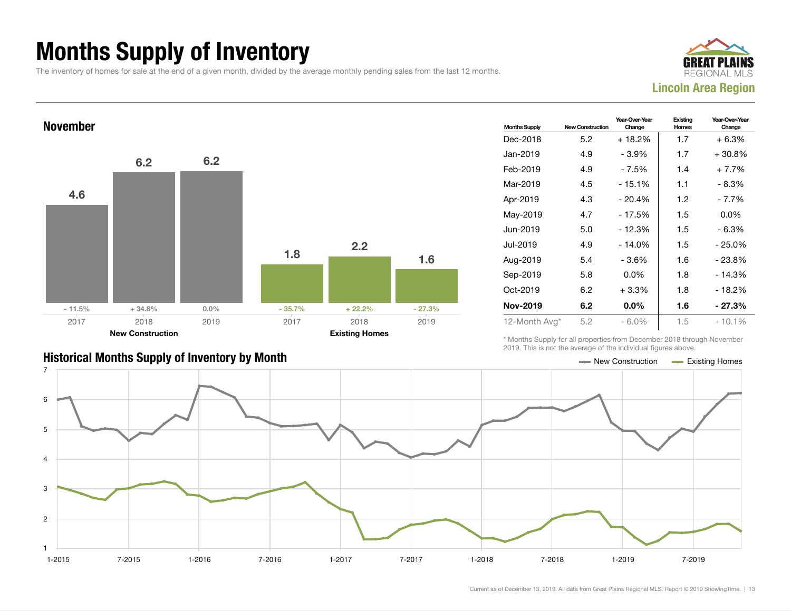## Months Supply of Inventory

The inventory of homes for sale at the end of a given month, divided by the average monthly pending sales from the last 12 months.





| <b>Months Supply</b> | <b>New Construction</b> | Year-Over-Year<br>Change | Existing<br>Homes | Year-Over-Year<br>Change |
|----------------------|-------------------------|--------------------------|-------------------|--------------------------|
| Dec-2018             | 5.2                     | $+18.2%$                 | 1.7               | $+6.3%$                  |
| Jan-2019             | 4.9                     | - 3.9%                   | 1.7               | $+30.8\%$                |
| Feb-2019             | 4.9                     | - 7.5%                   | 1.4               | $+7.7%$                  |
| Mar-2019             | 4.5                     | $-15.1%$                 | 1.1               | - 8.3%                   |
| Apr-2019             | 4.3                     | $-20.4%$                 | 1.2               | - 7.7%                   |
| May-2019             | 4.7                     | - 17.5%                  | 1.5               | $0.0\%$                  |
| Jun-2019             | 5.0                     | $-12.3%$                 | 1.5               | $-6.3%$                  |
| Jul-2019.            | 4.9                     | $-14.0%$                 | 1.5               | $-25.0%$                 |
| Aug-2019             | 5.4                     | - 3.6%                   | 1.6               | - 23.8%                  |
| Sep-2019             | 5.8                     | $0.0\%$                  | 1.8               | $-14.3%$                 |
| Oct-2019             | 6.2                     | $+3.3%$                  | 1.8               | $-18.2%$                 |
| <b>Nov-2019</b>      | 6.2                     | $0.0\%$                  | 1.6               | $-27.3%$                 |
| 12-Month Avg*        | 5.2                     | $-6.0\%$                 | 1.5               | $-10.1%$                 |

\* Months Supply for all properties from December 2018 through November 2019. This is not the average of the individual figures above.